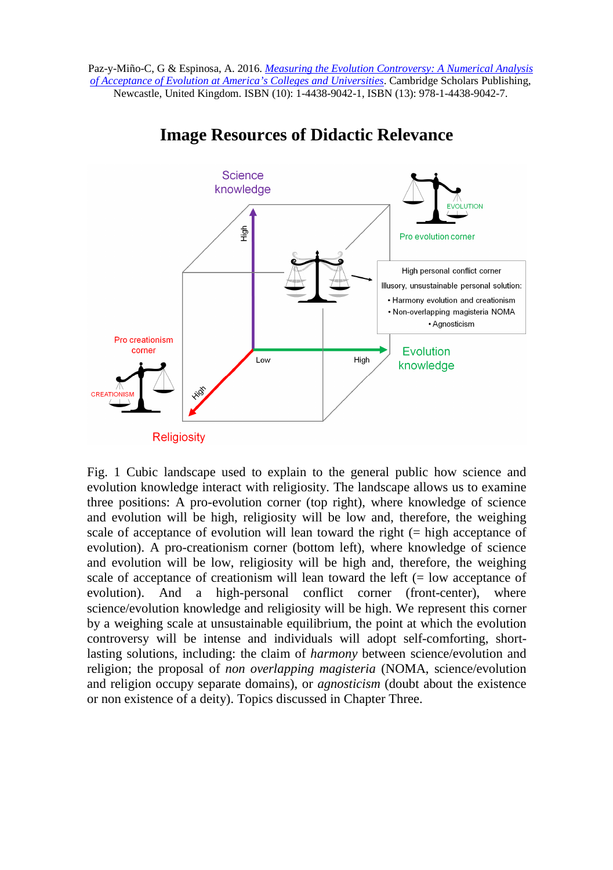Paz-y-Miño-C, G & Espinosa, A. 2016. *Measuring the Evolution Controversy: A Numerical Analysis of Acceptance of Evolution at America's Colleges and Universities*. Cambridge Scholars Publishing, Newcastle, United Kingdom. ISBN (10): 1-4438-9042-1, ISBN (13): 978-1-4438-9042-7.



## **Image Resources of Didactic Relevance**

Fig. 1 Cubic landscape used to explain to the general public how science and evolution knowledge interact with religiosity. The landscape allows us to examine three positions: A pro-evolution corner (top right), where knowledge of science and evolution will be high, religiosity will be low and, therefore, the weighing scale of acceptance of evolution will lean toward the right  $(= h$ igh acceptance of evolution). A pro-creationism corner (bottom left), where knowledge of science and evolution will be low, religiosity will be high and, therefore, the weighing scale of acceptance of creationism will lean toward the left  $(=$  low acceptance of evolution). And a high-personal conflict corner (front-center), where science/evolution knowledge and religiosity will be high. We represent this corner by a weighing scale at unsustainable equilibrium, the point at which the evolution controversy will be intense and individuals will adopt self-comforting, shortlasting solutions, including: the claim of *harmony* between science/evolution and religion; the proposal of *non overlapping magisteria* (NOMA, science/evolution and religion occupy separate domains), or *agnosticism* (doubt about the existence or non existence of a deity). Topics discussed in Chapter Three.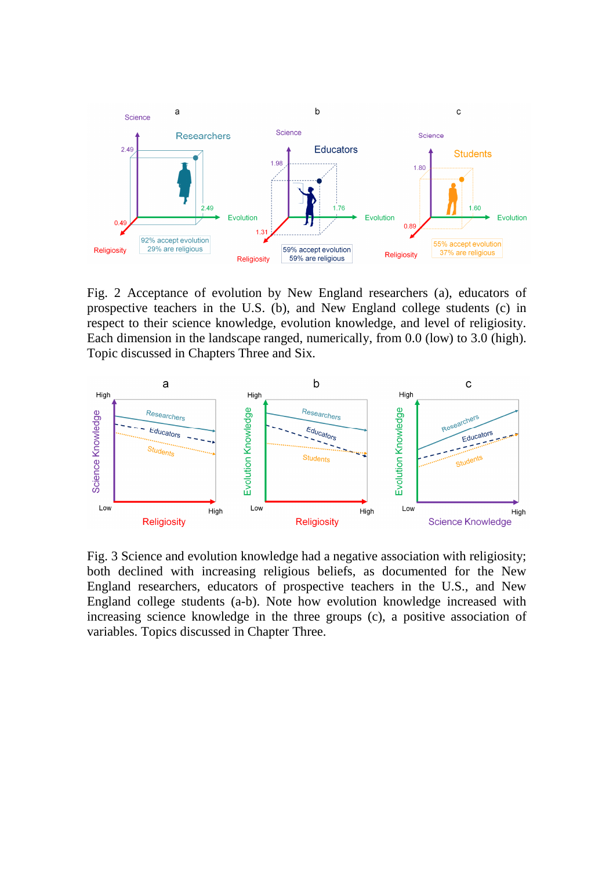

Fig. 2 Acceptance of evolution by New England researchers (a), educators of prospective teachers in the U.S. (b), and New England college students (c) in respect to their science knowledge, evolution knowledge, and level of religiosity. Each dimension in the landscape ranged, numerically, from 0.0 (low) to 3.0 (high). Topic discussed in Chapters Three and Six.



Fig. 3 Science and evolution knowledge had a negative association with religiosity; both declined with increasing religious beliefs, as documented for the New England researchers, educators of prospective teachers in the U.S., and New England college students (a-b). Note how evolution knowledge increased with increasing science knowledge in the three groups (c), a positive association of variables. Topics discussed in Chapter Three.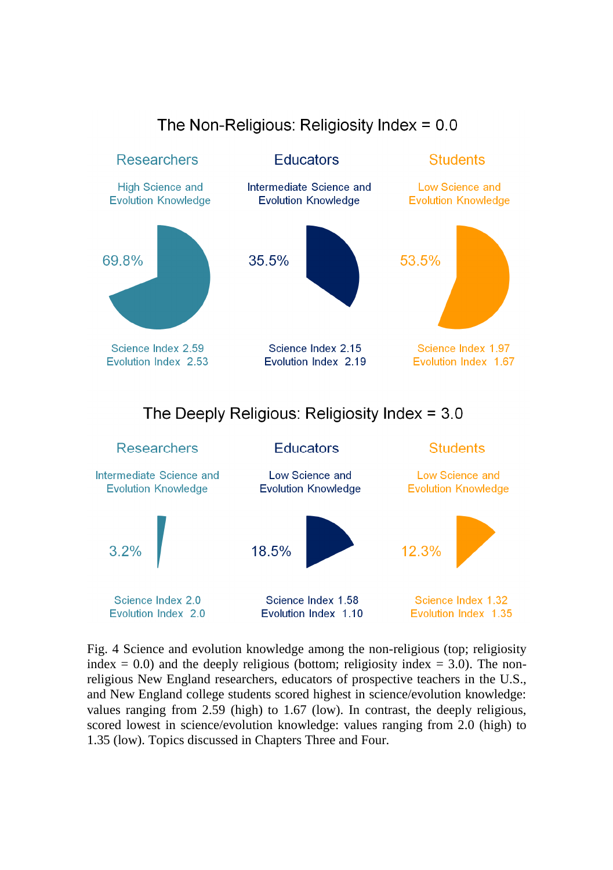

## The Non-Religious: Religiosity Index =  $0.0$



Fig. 4 Science and evolution knowledge among the non-religious (top; religiosity index  $= 0.0$ ) and the deeply religious (bottom; religiosity index  $= 3.0$ ). The nonreligious New England researchers, educators of prospective teachers in the U.S., and New England college students scored highest in science/evolution knowledge: values ranging from 2.59 (high) to 1.67 (low). In contrast, the deeply religious, scored lowest in science/evolution knowledge: values ranging from 2.0 (high) to 1.35 (low). Topics discussed in Chapters Three and Four.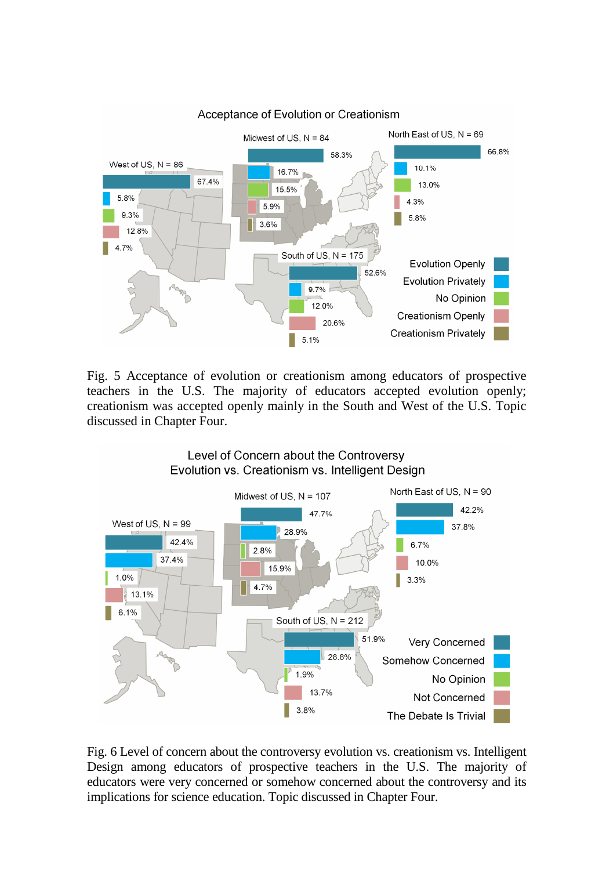

Fig. 5 Acceptance of evolution or creationism among educators of prospective teachers in the U.S. The majority of educators accepted evolution openly; creationism was accepted openly mainly in the South and West of the U.S. Topic discussed in Chapter Four.

> Level of Concern about the Controversy Evolution vs. Creationism vs. Intelligent Design



Fig. 6 Level of concern about the controversy evolution vs. creationism vs. Intelligent Design among educators of prospective teachers in the U.S. The majority of educators were very concerned or somehow concerned about the controversy and its implications for science education. Topic discussed in Chapter Four.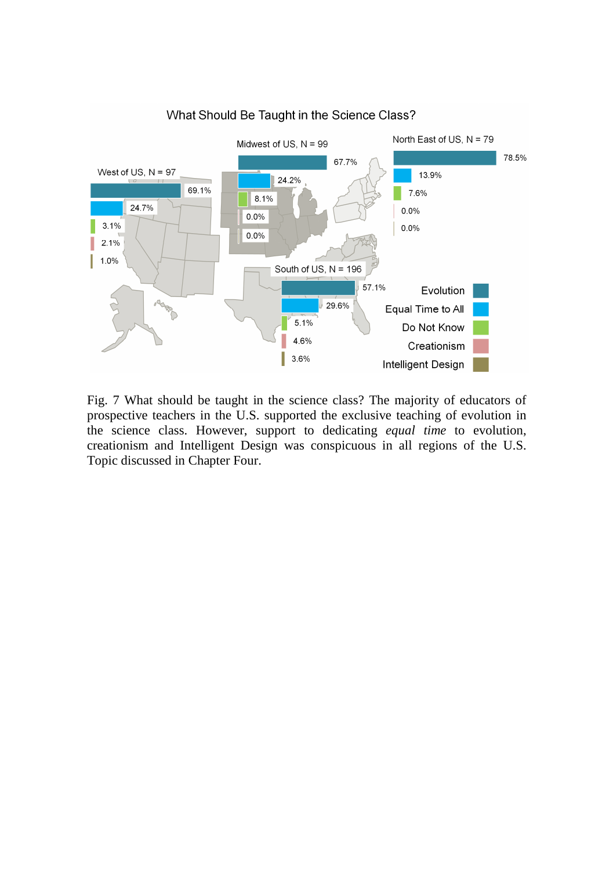

## What Should Be Taught in the Science Class?

Fig. 7 What should be taught in the science class? The majority of educators of prospective teachers in the U.S. supported the exclusive teaching of evolution in the science class. However, support to dedicating *equal time* to evolution, creationism and Intelligent Design was conspicuous in all regions of the U.S. Topic discussed in Chapter Four.